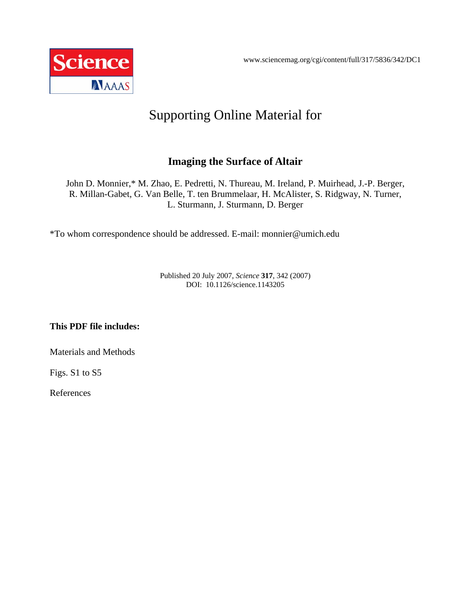www.sciencemag.org/cgi/content/full/317/5836/342/DC1



## Supporting Online Material for

## **Imaging the Surface of Altair**

John D. Monnier,\* M. Zhao, E. Pedretti, N. Thureau, M. Ireland, P. Muirhead, J.-P. Berger, R. Millan-Gabet, G. Van Belle, T. ten Brummelaar, H. McAlister, S. Ridgway, N. Turner, L. Sturmann, J. Sturmann, D. Berger

\*To whom correspondence should be addressed. E-mail: monnier@umich.edu

Published 20 July 2007, *Science* **317**, 342 (2007) DOI: 10.1126/science.1143205

**This PDF file includes:** 

Materials and Methods

Figs. S1 to S5

References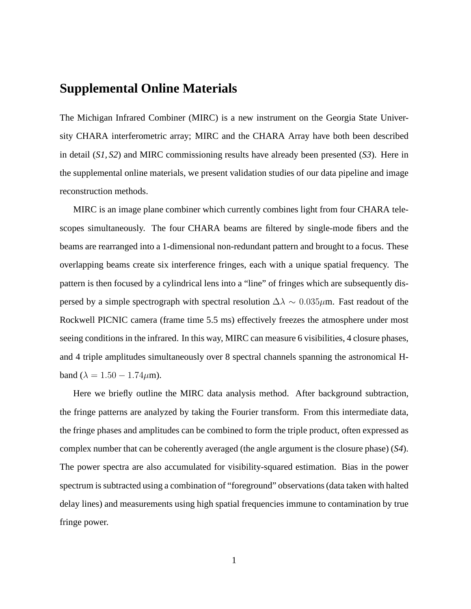## **Supplemental Online Materials**

The Michigan Infrared Combiner (MIRC) is a new instrument on the Georgia State University CHARA interferometric array; MIRC and the CHARA Array have both been described in detail (*S1, S2*) and MIRC commissioning results have already been presented (*S3*). Here in the supplemental online materials, we present validation studies of our data pipeline and image reconstruction methods.

MIRC is an image plane combiner which currently combines light from four CHARA telescopes simultaneously. The four CHARA beams are filtered by single-mode fibers and the beams are rearranged into a 1-dimensional non-redundant pattern and brought to a focus. These overlapping beams create six interference fringes, each with a unique spatial frequency. The pattern is then focused by a cylindrical lens into a "line" of fringes which are subsequently dispersed by a simple spectrograph with spectral resolution  $\Delta\lambda \sim 0.035 \mu$ m. Fast readout of the Rockwell PICNIC camera (frame time 5.5 ms) effectively freezes the atmosphere under most seeing conditions in the infrared. In this way, MIRC can measure 6 visibilities, 4 closure phases, and 4 triple amplitudes simultaneously over 8 spectral channels spanning the astronomical Hband ( $\lambda = 1.50 - 1.74 \mu m$ ).

Here we briefly outline the MIRC data analysis method. After background subtraction, the fringe patterns are analyzed by taking the Fourier transform. From this intermediate data, the fringe phases and amplitudes can be combined to form the triple product, often expressed as complex number that can be coherently averaged (the angle argument is the closure phase) (*S4*). The power spectra are also accumulated for visibility-squared estimation. Bias in the power spectrum is subtracted using a combination of "foreground" observations (data taken with halted delay lines) and measurements using high spatial frequencies immune to contamination by true fringe power.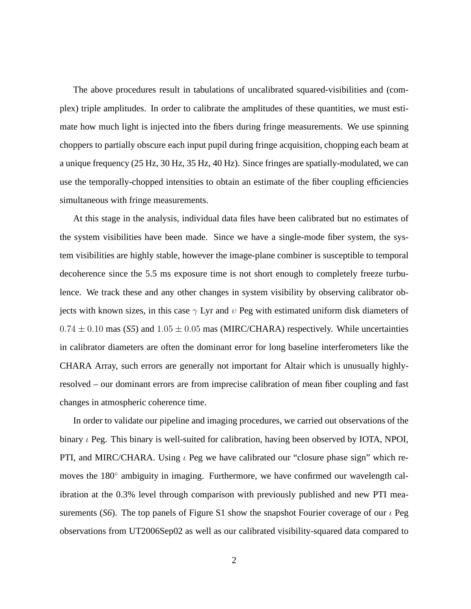The above procedures result in tabulations of uncalibrated squared-visibilities and (complex) triple amplitudes. In order to calibrate the amplitudes of these quantities, we must estimate how much light is injected into the fibers during fringe measurements. We use spinning choppers to partially obscure each input pupil during fringe acquisition, chopping each beam at a unique frequency (25 Hz, 30 Hz, 35 Hz, 40 Hz). Since fringes are spatially-modulated, we can use the temporally-chopped intensities to obtain an estimate of the fiber coupling efficiencies simultaneous with fringe measurements.

At this stage in the analysis, individual data files have been calibrated but no estimates of the system visibilities have been made. Since we have a single-mode fiber system, the system visibilities are highly stable, however the image-plane combiner is susceptible to temporal decoherence since the 5.5 ms exposure time is not short enough to completely freeze turbulence. We track these and any other changes in system visibility by observing calibrator objects with known sizes, in this case  $\gamma$  Lyr and  $\upsilon$  Peg with estimated uniform disk diameters of  $0.74 \pm 0.10$  mas (S5) and  $1.05 \pm 0.05$  mas (MIRC/CHARA) respectively. While uncertainties in calibrator diameters are often the dominant error for long baseline interferometers like the CHARA Array, such errors are generally not important for Altair which is unusually highlyresolved – our dominant errors are from imprecise calibration of mean fiber coupling and fast changes in atmospheric coherence time.

In order to validate our pipeline and imaging procedures, we carried out observations of the binary  $\iota$  Peg. This binary is well-suited for calibration, having been observed by IOTA, NPOI, PTI, and MIRC/CHARA. Using  $\iota$  Peg we have calibrated our "closure phase sign" which removes the 180° ambiguity in imaging. Furthermore, we have confirmed our wavelength calibration at the 0.3% level through comparison with previously published and new PTI measurements (*S6*). The top panels of Figure S1 show the snapshot Fourier coverage of our  $\iota$  Peg observations from UT2006Sep02 as well as our calibrated visibility-squared data compared to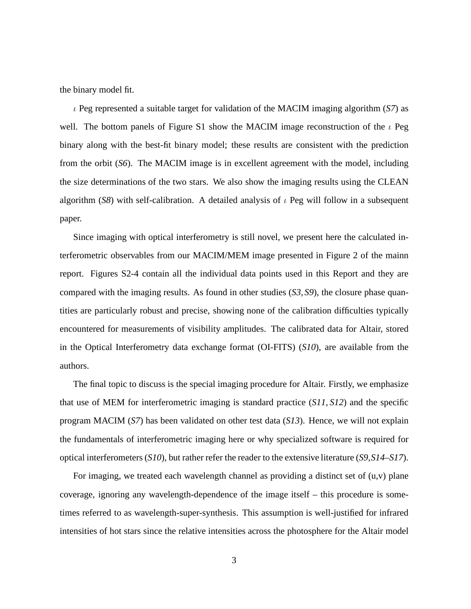the binary model fit.

 $\iota$  Peg represented a suitable target for validation of the MACIM imaging algorithm (*S7*) as well. The bottom panels of Figure S1 show the MACIM image reconstruction of the  $\iota$  Peg binary along with the best-fit binary model; these results are consistent with the prediction from the orbit (*S6*). The MACIM image is in excellent agreement with the model, including the size determinations of the two stars. We also show the imaging results using the CLEAN algorithm (*S8*) with self-calibration. A detailed analysis of  $\iota$  Peg will follow in a subsequent paper.

Since imaging with optical interferometry is still novel, we present here the calculated interferometric observables from our MACIM/MEM image presented in Figure 2 of the mainn report. Figures S2-4 contain all the individual data points used in this Report and they are compared with the imaging results. As found in other studies (*S3, S9*), the closure phase quantities are particularly robust and precise, showing none of the calibration difficulties typically encountered for measurements of visibility amplitudes. The calibrated data for Altair, stored in the Optical Interferometry data exchange format (OI-FITS) (*S10*), are available from the authors.

The final topic to discuss is the special imaging procedure for Altair. Firstly, we emphasize that use of MEM for interferometric imaging is standard practice (*S11, S12*) and the specific program MACIM (*S7*) has been validated on other test data (*S13*). Hence, we will not explain the fundamentals of interferometric imaging here or why specialized software is required for optical interferometers (*S10*), but rather refer the reader to the extensive literature (*S9,S14–S17*).

For imaging, we treated each wavelength channel as providing a distinct set of  $(u, v)$  plane coverage, ignoring any wavelength-dependence of the image itself – this procedure is sometimes referred to as wavelength-super-synthesis. This assumption is well-justified for infrared intensities of hot stars since the relative intensities across the photosphere for the Altair model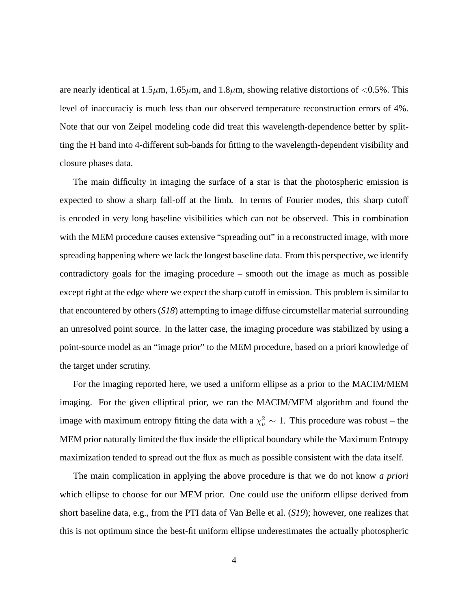are nearly identical at  $1.5\mu$ m,  $1.65\mu$ m, and  $1.8\mu$ m, showing relative distortions of <0.5%. This level of inaccuraciy is much less than our observed temperature reconstruction errors of 4%. Note that our von Zeipel modeling code did treat this wavelength-dependence better by splitting the H band into 4-different sub-bands for fitting to the wavelength-dependent visibility and closure phases data.

The main difficulty in imaging the surface of a star is that the photospheric emission is expected to show a sharp fall-off at the limb. In terms of Fourier modes, this sharp cutoff is encoded in very long baseline visibilities which can not be observed. This in combination with the MEM procedure causes extensive "spreading out" in a reconstructed image, with more spreading happening where we lack the longest baseline data. From this perspective, we identify contradictory goals for the imaging procedure – smooth out the image as much as possible except right at the edge where we expect the sharp cutoff in emission. This problem is similar to that encountered by others (*S18*) attempting to image diffuse circumstellar material surrounding an unresolved point source. In the latter case, the imaging procedure was stabilized by using a point-source model as an "image prior" to the MEM procedure, based on a priori knowledge of the target under scrutiny.

For the imaging reported here, we used a uniform ellipse as a prior to the MACIM/MEM imaging. For the given elliptical prior, we ran the MACIM/MEM algorithm and found the image with maximum entropy fitting the data with a  $\chi^2_{\nu} \sim 1$ . This procedure was robust – the MEM prior naturally limited the flux inside the elliptical boundary while the Maximum Entropy maximization tended to spread out the flux as much as possible consistent with the data itself.

The main complication in applying the above procedure is that we do not know *a priori* which ellipse to choose for our MEM prior. One could use the uniform ellipse derived from short baseline data, e.g., from the PTI data of Van Belle et al. (*S19*); however, one realizes that this is not optimum since the best-fit uniform ellipse underestimates the actually photospheric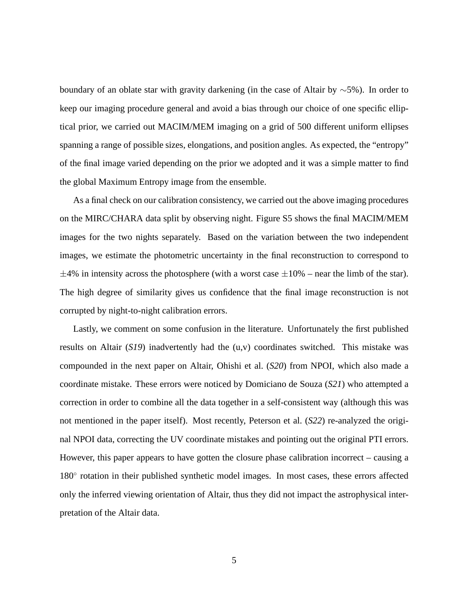boundary of an oblate star with gravity darkening (in the case of Altair by ∼5%). In order to keep our imaging procedure general and avoid a bias through our choice of one specific elliptical prior, we carried out MACIM/MEM imaging on a grid of 500 different uniform ellipses spanning a range of possible sizes, elongations, and position angles. As expected, the "entropy" of the final image varied depending on the prior we adopted and it was a simple matter to find the global Maximum Entropy image from the ensemble.

As a final check on our calibration consistency, we carried out the above imaging procedures on the MIRC/CHARA data split by observing night. Figure S5 shows the final MACIM/MEM images for the two nights separately. Based on the variation between the two independent images, we estimate the photometric uncertainty in the final reconstruction to correspond to  $\pm$ 4% in intensity across the photosphere (with a worst case  $\pm$ 10% – near the limb of the star). The high degree of similarity gives us confidence that the final image reconstruction is not corrupted by night-to-night calibration errors.

Lastly, we comment on some confusion in the literature. Unfortunately the first published results on Altair (*S19*) inadvertently had the (u,v) coordinates switched. This mistake was compounded in the next paper on Altair, Ohishi et al. (*S20*) from NPOI, which also made a coordinate mistake. These errors were noticed by Domiciano de Souza (*S21*) who attempted a correction in order to combine all the data together in a self-consistent way (although this was not mentioned in the paper itself). Most recently, Peterson et al. (*S22*) re-analyzed the original NPOI data, correcting the UV coordinate mistakes and pointing out the original PTI errors. However, this paper appears to have gotten the closure phase calibration incorrect – causing a 180<sup>°</sup> rotation in their published synthetic model images. In most cases, these errors affected only the inferred viewing orientation of Altair, thus they did not impact the astrophysical interpretation of the Altair data.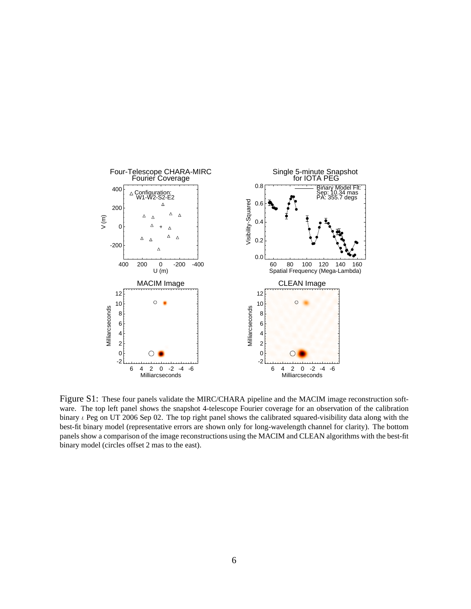

Figure S1: These four panels validate the MIRC/CHARA pipeline and the MACIM image reconstruction software. The top left panel shows the snapshot 4-telescope Fourier coverage for an observation of the calibration binary ι Peg on UT 2006 Sep 02. The top right panel shows the calibrated squared-visibility data along with the best-fit binary model (representative errors are shown only for long-wavelength channel for clarity). The bottom panels show a comparison of the image reconstructions using the MACIM and CLEAN algorithms with the best-fit binary model (circles offset 2 mas to the east).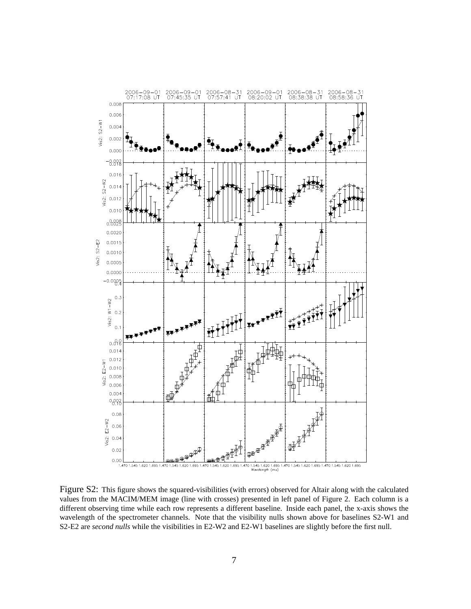

Figure S2: This figure shows the squared-visibilities (with errors) observed for Altair along with the calculated values from the MACIM/MEM image (line with crosses) presented in left panel of Figure 2. Each column is a different observing time while each row represents a different baseline. Inside each panel, the x-axis shows the wavelength of the spectrometer channels. Note that the visibility nulls shown above for baselines S2-W1 and S2-E2 are *second nulls* while the visibilities in E2-W2 and E2-W1 baselines are slightly before the first null.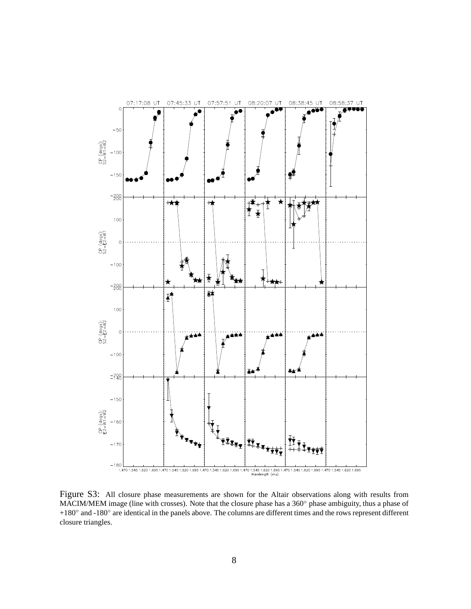

Figure S3: All closure phase measurements are shown for the Altair observations along with results from MACIM/MEM image (line with crosses). Note that the closure phase has a 360° phase ambiguity, thus a phase of +180◦ and -180◦ are identical in the panels above. The columns are different times and the rows represent different closure triangles.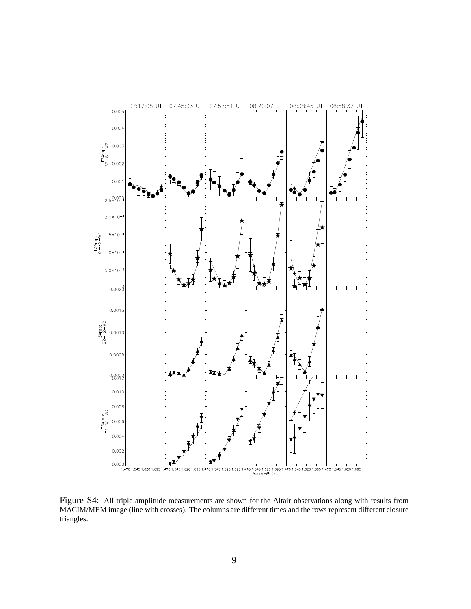

Figure S4: All triple amplitude measurements are shown for the Altair observations along with results from MACIM/MEM image (line with crosses). The columns are different times and the rows represent different closure triangles.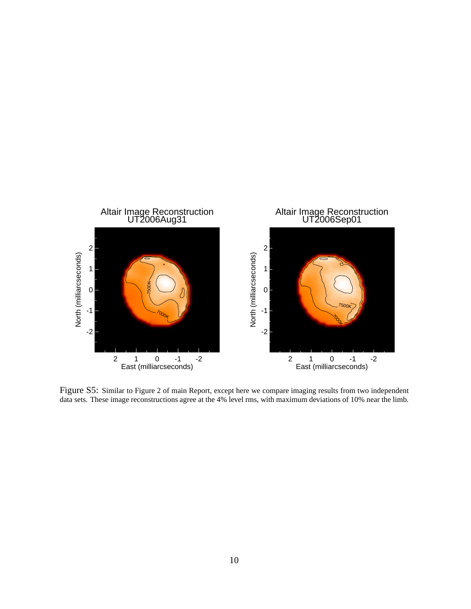

Figure S5: Similar to Figure 2 of main Report, except here we compare imaging results from two independent data sets. These image reconstructions agree at the 4% level rms, with maximum deviations of 10% near the limb.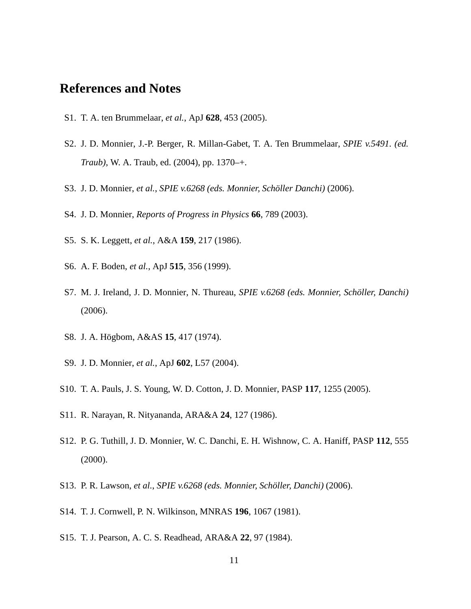## **References and Notes**

- S1. T. A. ten Brummelaar, *et al.*, ApJ **628**, 453 (2005).
- S2. J. D. Monnier, J.-P. Berger, R. Millan-Gabet, T. A. Ten Brummelaar, *SPIE v.5491. (ed. Traub)*, W. A. Traub, ed. (2004), pp. 1370–+.
- S3. J. D. Monnier, *et al.*, *SPIE v.6268 (eds. Monnier, Scholler Danchi) ¨* (2006).
- S4. J. D. Monnier, *Reports of Progress in Physics* **66**, 789 (2003).
- S5. S. K. Leggett, *et al.*, A&A **159**, 217 (1986).
- S6. A. F. Boden, *et al.*, ApJ **515**, 356 (1999).
- S7. M. J. Ireland, J. D. Monnier, N. Thureau, *SPIE v.6268 (eds. Monnier, Scholler, Danchi) ¨* (2006).
- S8. J. A. H¨ogbom, A&AS **15**, 417 (1974).
- S9. J. D. Monnier, *et al.*, ApJ **602**, L57 (2004).
- S10. T. A. Pauls, J. S. Young, W. D. Cotton, J. D. Monnier, PASP **117**, 1255 (2005).
- S11. R. Narayan, R. Nityananda, ARA&A **24**, 127 (1986).
- S12. P. G. Tuthill, J. D. Monnier, W. C. Danchi, E. H. Wishnow, C. A. Haniff, PASP **112**, 555 (2000).
- S13. P. R. Lawson, *et al.*, *SPIE v.6268 (eds. Monnier, Scholler, Danchi) ¨* (2006).
- S14. T. J. Cornwell, P. N. Wilkinson, MNRAS **196**, 1067 (1981).
- S15. T. J. Pearson, A. C. S. Readhead, ARA&A **22**, 97 (1984).